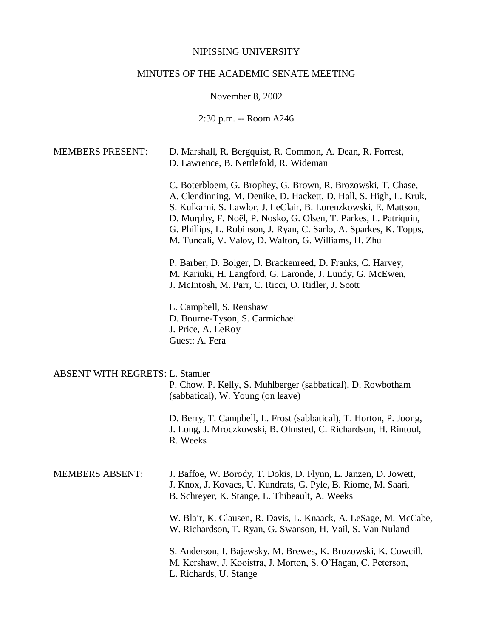#### NIPISSING UNIVERSITY

# MINUTES OF THE ACADEMIC SENATE MEETING

November 8, 2002

2:30 p.m. -- Room A246

| D. Marshall, R. Bergquist, R. Common, A. Dean, R. Forrest,<br>D. Lawrence, B. Nettlefold, R. Wideman                                                                                                                                                                                                                                                                                                    |
|---------------------------------------------------------------------------------------------------------------------------------------------------------------------------------------------------------------------------------------------------------------------------------------------------------------------------------------------------------------------------------------------------------|
| C. Boterbloem, G. Brophey, G. Brown, R. Brozowski, T. Chase,<br>A. Clendinning, M. Denike, D. Hackett, D. Hall, S. High, L. Kruk,<br>S. Kulkarni, S. Lawlor, J. LeClair, B. Lorenzkowski, E. Mattson,<br>D. Murphy, F. Noël, P. Nosko, G. Olsen, T. Parkes, L. Patriquin,<br>G. Phillips, L. Robinson, J. Ryan, C. Sarlo, A. Sparkes, K. Topps,<br>M. Tuncali, V. Valov, D. Walton, G. Williams, H. Zhu |
| P. Barber, D. Bolger, D. Brackenreed, D. Franks, C. Harvey,<br>M. Kariuki, H. Langford, G. Laronde, J. Lundy, G. McEwen,<br>J. McIntosh, M. Parr, C. Ricci, O. Ridler, J. Scott                                                                                                                                                                                                                         |
| L. Campbell, S. Renshaw<br>D. Bourne-Tyson, S. Carmichael<br>J. Price, A. LeRoy<br>Guest: A. Fera                                                                                                                                                                                                                                                                                                       |
| <b>ABSENT WITH REGRETS: L. Stamler</b><br>P. Chow, P. Kelly, S. Muhlberger (sabbatical), D. Rowbotham<br>(sabbatical), W. Young (on leave)                                                                                                                                                                                                                                                              |
| D. Berry, T. Campbell, L. Frost (sabbatical), T. Horton, P. Joong,<br>J. Long, J. Mroczkowski, B. Olmsted, C. Richardson, H. Rintoul,<br>R. Weeks                                                                                                                                                                                                                                                       |
|                                                                                                                                                                                                                                                                                                                                                                                                         |

MEMBERS ABSENT: J. Baffoe, W. Borody, T. Dokis, D. Flynn, L. Janzen, D. Jowett, J. Knox, J. Kovacs, U. Kundrats, G. Pyle, B. Riome, M. Saari, B. Schreyer, K. Stange, L. Thibeault, A. Weeks

> W. Blair, K. Clausen, R. Davis, L. Knaack, A. LeSage, M. McCabe, W. Richardson, T. Ryan, G. Swanson, H. Vail, S. Van Nuland

S. Anderson, I. Bajewsky, M. Brewes, K. Brozowski, K. Cowcill, M. Kershaw, J. Kooistra, J. Morton, S. O'Hagan, C. Peterson, L. Richards, U. Stange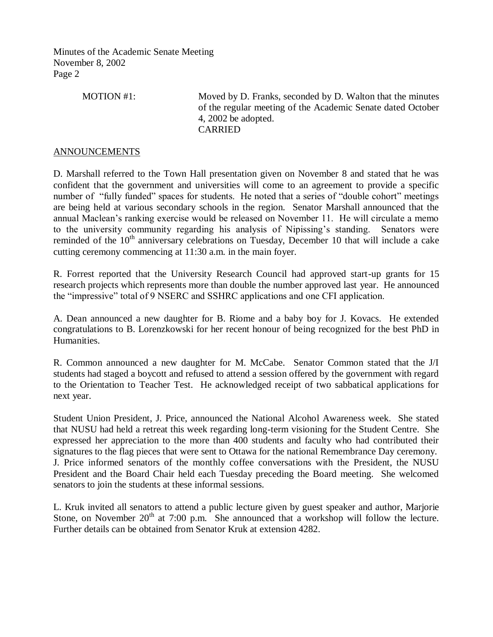| MOTION #1: | Moved by D. Franks, seconded by D. Walton that the minutes  |
|------------|-------------------------------------------------------------|
|            | of the regular meeting of the Academic Senate dated October |
|            | 4, 2002 be adopted.                                         |
|            | <b>CARRIED</b>                                              |

### ANNOUNCEMENTS

D. Marshall referred to the Town Hall presentation given on November 8 and stated that he was confident that the government and universities will come to an agreement to provide a specific number of "fully funded" spaces for students. He noted that a series of "double cohort" meetings are being held at various secondary schools in the region. Senator Marshall announced that the annual Maclean's ranking exercise would be released on November 11. He will circulate a memo to the university community regarding his analysis of Nipissing's standing. Senators were reminded of the  $10<sup>th</sup>$  anniversary celebrations on Tuesday, December 10 that will include a cake cutting ceremony commencing at 11:30 a.m. in the main foyer.

R. Forrest reported that the University Research Council had approved start-up grants for 15 research projects which represents more than double the number approved last year. He announced the "impressive" total of 9 NSERC and SSHRC applications and one CFI application.

A. Dean announced a new daughter for B. Riome and a baby boy for J. Kovacs. He extended congratulations to B. Lorenzkowski for her recent honour of being recognized for the best PhD in Humanities.

R. Common announced a new daughter for M. McCabe. Senator Common stated that the J/I students had staged a boycott and refused to attend a session offered by the government with regard to the Orientation to Teacher Test. He acknowledged receipt of two sabbatical applications for next year.

Student Union President, J. Price, announced the National Alcohol Awareness week. She stated that NUSU had held a retreat this week regarding long-term visioning for the Student Centre. She expressed her appreciation to the more than 400 students and faculty who had contributed their signatures to the flag pieces that were sent to Ottawa for the national Remembrance Day ceremony. J. Price informed senators of the monthly coffee conversations with the President, the NUSU President and the Board Chair held each Tuesday preceding the Board meeting. She welcomed senators to join the students at these informal sessions.

L. Kruk invited all senators to attend a public lecture given by guest speaker and author, Marjorie Stone, on November  $20<sup>th</sup>$  at 7:00 p.m. She announced that a workshop will follow the lecture. Further details can be obtained from Senator Kruk at extension 4282.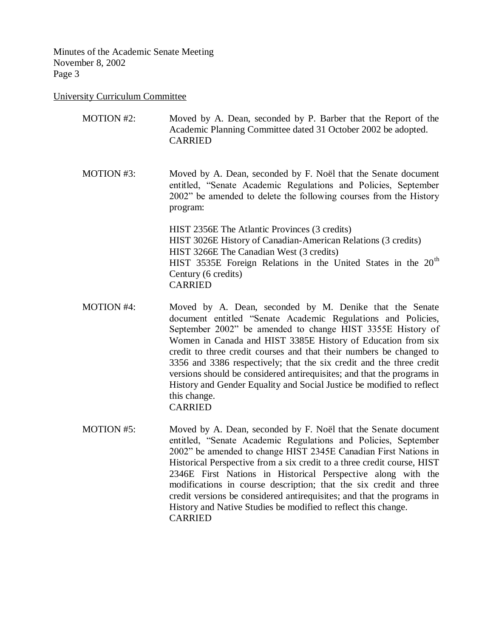### University Curriculum Committee

| MOTION #2: | Moved by A. Dean, seconded by P. Barber that the Report of the<br>Academic Planning Committee dated 31 October 2002 be adopted.<br><b>CARRIED</b>                                                                                                                                |
|------------|----------------------------------------------------------------------------------------------------------------------------------------------------------------------------------------------------------------------------------------------------------------------------------|
| MOTION #3: | Moved by A. Dean, seconded by F. Noël that the Senate document<br>entitled, "Senate Academic Regulations and Policies, September<br>2002" be amended to delete the following courses from the History<br>program:                                                                |
|            | HIST 2356E The Atlantic Provinces (3 credits)<br>HIST 3026E History of Canadian-American Relations (3 credits)<br>HIST 3266E The Canadian West (3 credits)<br>HIST 3535E Foreign Relations in the United States in the 20 <sup>th</sup><br>Century (6 credits)<br><b>CARRIED</b> |
|            |                                                                                                                                                                                                                                                                                  |

- MOTION #4: Moved by A. Dean, seconded by M. Denike that the Senate document entitled "Senate Academic Regulations and Policies, September 2002" be amended to change HIST 3355E History of Women in Canada and HIST 3385E History of Education from six credit to three credit courses and that their numbers be changed to 3356 and 3386 respectively; that the six credit and the three credit versions should be considered antirequisites; and that the programs in History and Gender Equality and Social Justice be modified to reflect this change. CARRIED
- MOTION #5: Moved by A. Dean, seconded by F. Noël that the Senate document entitled, "Senate Academic Regulations and Policies, September 2002" be amended to change HIST 2345E Canadian First Nations in Historical Perspective from a six credit to a three credit course, HIST 2346E First Nations in Historical Perspective along with the modifications in course description; that the six credit and three credit versions be considered antirequisites; and that the programs in History and Native Studies be modified to reflect this change. CARRIED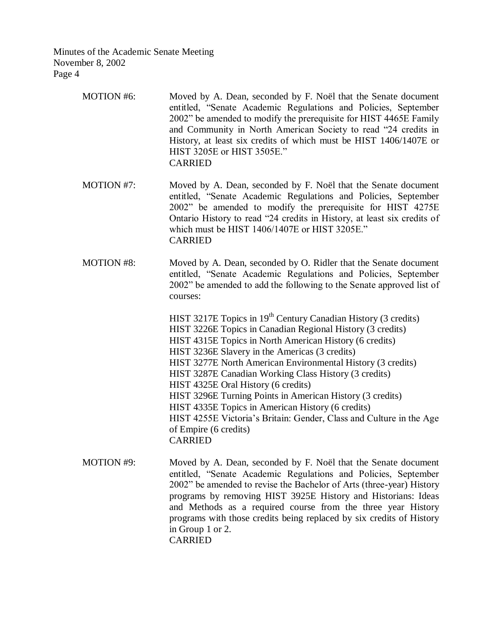| <b>MOTION #6:</b> | Moved by A. Dean, seconded by F. Noël that the Senate document<br>entitled, "Senate Academic Regulations and Policies, September<br>2002" be amended to modify the prerequisite for HIST 4465E Family<br>and Community in North American Society to read "24 credits in<br>History, at least six credits of which must be HIST 1406/1407E or<br>HIST 3205E or HIST 3505E."<br><b>CARRIED</b>                                                                                                                                                                                                                                                             |
|-------------------|----------------------------------------------------------------------------------------------------------------------------------------------------------------------------------------------------------------------------------------------------------------------------------------------------------------------------------------------------------------------------------------------------------------------------------------------------------------------------------------------------------------------------------------------------------------------------------------------------------------------------------------------------------|
| <b>MOTION #7:</b> | Moved by A. Dean, seconded by F. Noël that the Senate document<br>entitled, "Senate Academic Regulations and Policies, September<br>2002" be amended to modify the prerequisite for HIST 4275E<br>Ontario History to read "24 credits in History, at least six credits of<br>which must be HIST 1406/1407E or HIST 3205E."<br><b>CARRIED</b>                                                                                                                                                                                                                                                                                                             |
| <b>MOTION #8:</b> | Moved by A. Dean, seconded by O. Ridler that the Senate document<br>entitled, "Senate Academic Regulations and Policies, September<br>2002" be amended to add the following to the Senate approved list of<br>courses:                                                                                                                                                                                                                                                                                                                                                                                                                                   |
|                   | HIST 3217E Topics in 19 <sup>th</sup> Century Canadian History (3 credits)<br>HIST 3226E Topics in Canadian Regional History (3 credits)<br>HIST 4315E Topics in North American History (6 credits)<br>HIST 3236E Slavery in the Americas (3 credits)<br>HIST 3277E North American Environmental History (3 credits)<br>HIST 3287E Canadian Working Class History (3 credits)<br>HIST 4325E Oral History (6 credits)<br>HIST 3296E Turning Points in American History (3 credits)<br>HIST 4335E Topics in American History (6 credits)<br>HIST 4255E Victoria's Britain: Gender, Class and Culture in the Age<br>of Empire (6 credits)<br><b>CARRIED</b> |
| <b>MOTION #9:</b> | Moved by A. Dean, seconded by F. Noël that the Senate document<br>entitled, "Senate Academic Regulations and Policies, September<br>2002" be amended to revise the Bachelor of Arts (three-year) History<br>programs by removing HIST 3925E History and Historians: Ideas<br>and Methods as a required course from the three year History<br>programs with those credits being replaced by six credits of History<br>in Group 1 or 2.                                                                                                                                                                                                                    |

CARRIED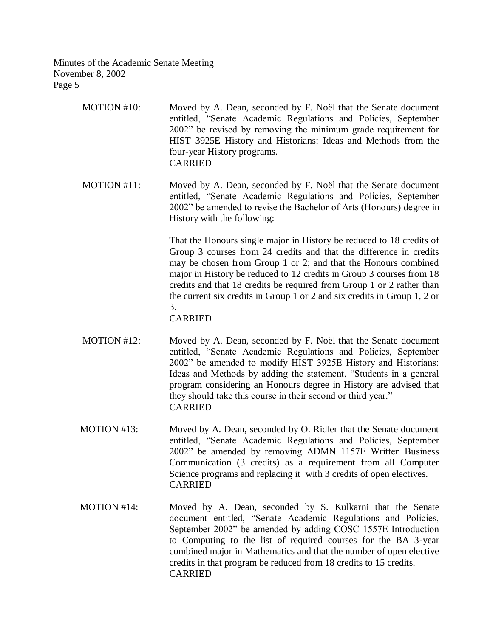- MOTION #10: Moved by A. Dean, seconded by F. Noël that the Senate document entitled, "Senate Academic Regulations and Policies, September 2002" be revised by removing the minimum grade requirement for HIST 3925E History and Historians: Ideas and Methods from the four-year History programs. CARRIED
- MOTION #11: Moved by A. Dean, seconded by F. Noël that the Senate document entitled, "Senate Academic Regulations and Policies, September 2002" be amended to revise the Bachelor of Arts (Honours) degree in History with the following:

That the Honours single major in History be reduced to 18 credits of Group 3 courses from 24 credits and that the difference in credits may be chosen from Group 1 or 2; and that the Honours combined major in History be reduced to 12 credits in Group 3 courses from 18 credits and that 18 credits be required from Group 1 or 2 rather than the current six credits in Group 1 or 2 and six credits in Group 1, 2 or 3.

## CARRIED

- MOTION #12: Moved by A. Dean, seconded by F. Noël that the Senate document entitled, "Senate Academic Regulations and Policies, September 2002" be amended to modify HIST 3925E History and Historians: Ideas and Methods by adding the statement, "Students in a general program considering an Honours degree in History are advised that they should take this course in their second or third year." CARRIED
- MOTION #13: Moved by A. Dean, seconded by O. Ridler that the Senate document entitled, "Senate Academic Regulations and Policies, September 2002" be amended by removing ADMN 1157E Written Business Communication (3 credits) as a requirement from all Computer Science programs and replacing it with 3 credits of open electives. CARRIED
- MOTION #14: Moved by A. Dean, seconded by S. Kulkarni that the Senate document entitled, "Senate Academic Regulations and Policies, September 2002" be amended by adding COSC 1557E Introduction to Computing to the list of required courses for the BA 3-year combined major in Mathematics and that the number of open elective credits in that program be reduced from 18 credits to 15 credits. CARRIED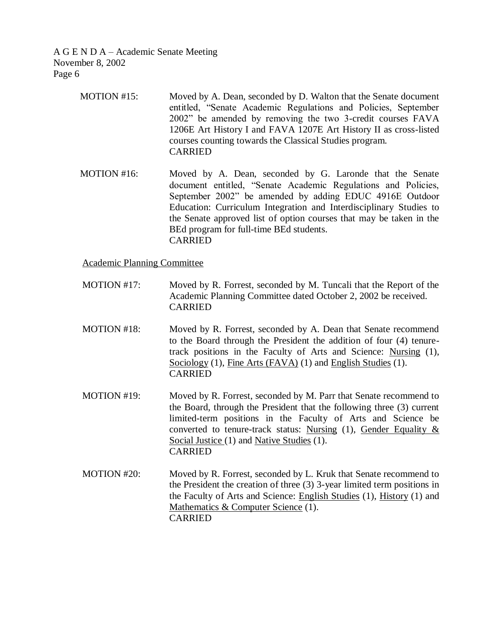A G E N D A – Academic Senate Meeting November 8, 2002 Page 6

- MOTION #15: Moved by A. Dean, seconded by D. Walton that the Senate document entitled, "Senate Academic Regulations and Policies, September 2002" be amended by removing the two 3-credit courses FAVA 1206E Art History I and FAVA 1207E Art History II as cross-listed courses counting towards the Classical Studies program. CARRIED
- MOTION #16: Moved by A. Dean, seconded by G. Laronde that the Senate document entitled, "Senate Academic Regulations and Policies, September 2002" be amended by adding EDUC 4916E Outdoor Education: Curriculum Integration and Interdisciplinary Studies to the Senate approved list of option courses that may be taken in the BEd program for full-time BEd students. CARRIED

Academic Planning Committee

- MOTION #17: Moved by R. Forrest, seconded by M. Tuncali that the Report of the Academic Planning Committee dated October 2, 2002 be received. CARRIED
- MOTION #18: Moved by R. Forrest, seconded by A. Dean that Senate recommend to the Board through the President the addition of four (4) tenuretrack positions in the Faculty of Arts and Science: Nursing (1), Sociology (1), Fine Arts (FAVA) (1) and English Studies (1). CARRIED
- MOTION #19: Moved by R. Forrest, seconded by M. Parr that Senate recommend to the Board, through the President that the following three (3) current limited-term positions in the Faculty of Arts and Science be converted to tenure-track status: Nursing (1), Gender Equality & Social Justice (1) and Native Studies (1). CARRIED
- MOTION #20: Moved by R. Forrest, seconded by L. Kruk that Senate recommend to the President the creation of three (3) 3-year limited term positions in the Faculty of Arts and Science: English Studies (1), History (1) and Mathematics & Computer Science (1). CARRIED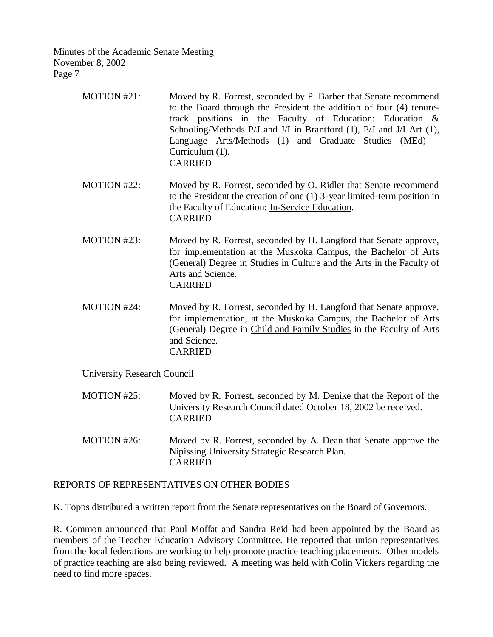| MOTION #21:                        | Moved by R. Forrest, seconded by P. Barber that Senate recommend<br>to the Board through the President the addition of four (4) tenure-<br>track positions in the Faculty of Education: Education $\&$<br>Schooling/Methods $P/J$ and $J/I$ in Brantford (1), $P/J$ and $J/I$ Art (1),<br>Language Arts/Methods (1) and Graduate Studies (MEd)<br>$Curricular(1)$ .<br><b>CARRIED</b> |  |  |
|------------------------------------|---------------------------------------------------------------------------------------------------------------------------------------------------------------------------------------------------------------------------------------------------------------------------------------------------------------------------------------------------------------------------------------|--|--|
| MOTION #22:                        | Moved by R. Forrest, seconded by O. Ridler that Senate recommend<br>to the President the creation of one $(1)$ 3-year limited-term position in<br>the Faculty of Education: In-Service Education.<br><b>CARRIED</b>                                                                                                                                                                   |  |  |
| MOTION #23:                        | Moved by R. Forrest, seconded by H. Langford that Senate approve,<br>for implementation at the Muskoka Campus, the Bachelor of Arts<br>(General) Degree in Studies in Culture and the Arts in the Faculty of<br>Arts and Science.<br><b>CARRIED</b>                                                                                                                                   |  |  |
| MOTION #24:                        | Moved by R. Forrest, seconded by H. Langford that Senate approve,<br>for implementation, at the Muskoka Campus, the Bachelor of Arts<br>(General) Degree in Child and Family Studies in the Faculty of Arts<br>and Science.<br><b>CARRIED</b>                                                                                                                                         |  |  |
| <b>University Research Council</b> |                                                                                                                                                                                                                                                                                                                                                                                       |  |  |

- MOTION #25: Moved by R. Forrest, seconded by M. Denike that the Report of the University Research Council dated October 18, 2002 be received. CARRIED
- MOTION #26: Moved by R. Forrest, seconded by A. Dean that Senate approve the Nipissing University Strategic Research Plan. CARRIED

# REPORTS OF REPRESENTATIVES ON OTHER BODIES

K. Topps distributed a written report from the Senate representatives on the Board of Governors.

R. Common announced that Paul Moffat and Sandra Reid had been appointed by the Board as members of the Teacher Education Advisory Committee. He reported that union representatives from the local federations are working to help promote practice teaching placements. Other models of practice teaching are also being reviewed. A meeting was held with Colin Vickers regarding the need to find more spaces.